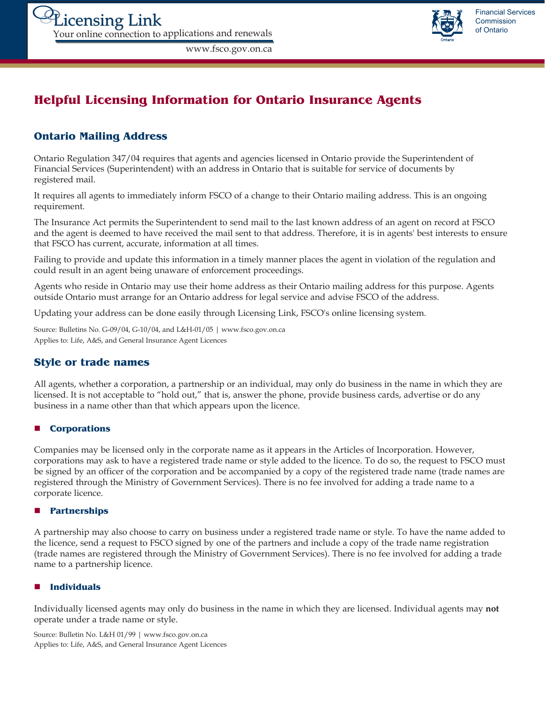

# **Helpful Licensing Information for Ontario Insurance Agents**

www.fsco.gov.on.ca

# **Ontario Mailing Address**

Ontario Regulation 347/04 requires that agents and agencies licensed in Ontario provide the Superintendent of Financial Services (Superintendent) with an address in Ontario that is suitable for service of documents by registered mail.

It requires all agents to immediately inform FSCO of a change to their Ontario mailing address. This is an ongoing requirement.

The Insurance Act permits the Superintendent to send mail to the last known address of an agent on record at FSCO and the agent is deemed to have received the mail sent to that address. Therefore, it is in agents' best interests to ensure that FSCO has current, accurate, information at all times.

Failing to provide and update this information in a timely manner places the agent in violation of the regulation and could result in an agent being unaware of enforcement proceedings.

Agents who reside in Ontario may use their home address as their Ontario mailing address for this purpose. Agents outside Ontario must arrange for an Ontario address for legal service and advise FSCO of the address.

Updating your address can be done easily through Licensing Link, FSCO's online licensing system.

Source: Bulletins No. G-09/04, G-10/04, and L&H-01/05 | www.fsco.gov.on.ca Applies to: Life, A&S, and General Insurance Agent Licences

# **Style or trade names**

All agents, whether a corporation, a partnership or an individual, may only do business in the name in which they are licensed. It is not acceptable to "hold out," that is, answer the phone, provide business cards, advertise or do any business in a name other than that which appears upon the licence.

### **Corporations**

Companies may be licensed only in the corporate name as it appears in the Articles of Incorporation. However, corporations may ask to have a registered trade name or style added to the licence. To do so, the request to FSCO must be signed by an officer of the corporation and be accompanied by a copy of the registered trade name (trade names are registered through the Ministry of Government Services). There is no fee involved for adding a trade name to a corporate licence.

#### **Partnerships**

A partnership may also choose to carry on business under a registered trade name or style. To have the name added to the licence, send a request to FSCO signed by one of the partners and include a copy of the trade name registration (trade names are registered through the Ministry of Government Services). There is no fee involved for adding a trade name to a partnership licence.

### **Individuals**

Individually licensed agents may only do business in the name in which they are licensed. Individual agents may **not** operate under a trade name or style.

Source: Bulletin No. L&H 01/99 | www.fsco.gov.on.ca Applies to: Life, A&S, and General Insurance Agent Licences